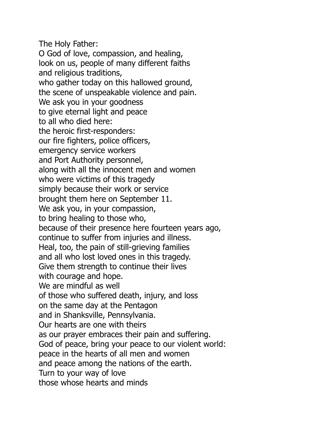The Holy Father: O God of love, compassion, and healing, look on us, people of many different faiths and religious traditions, who gather today on this hallowed ground, the scene of unspeakable violence and pain. We ask you in your goodness to give eternal light and peace to all who died here: the heroic first-responders: our fire fighters, police officers, emergency service workers and Port Authority personnel, along with all the innocent men and women who were victims of this tragedy simply because their work or service brought them here on September 11. We ask you, in your compassion, to bring healing to those who, because of their presence here fourteen years ago, continue to suffer from injuries and illness. Heal, too, the pain of still-grieving families and all who lost loved ones in this tragedy. Give them strength to continue their lives with courage and hope. We are mindful as well of those who suffered death, injury, and loss on the same day at the Pentagon and in Shanksville, Pennsylvania. Our hearts are one with theirs as our prayer embraces their pain and suffering. God of peace, bring your peace to our violent world: peace in the hearts of all men and women and peace among the nations of the earth. Turn to your way of love those whose hearts and minds